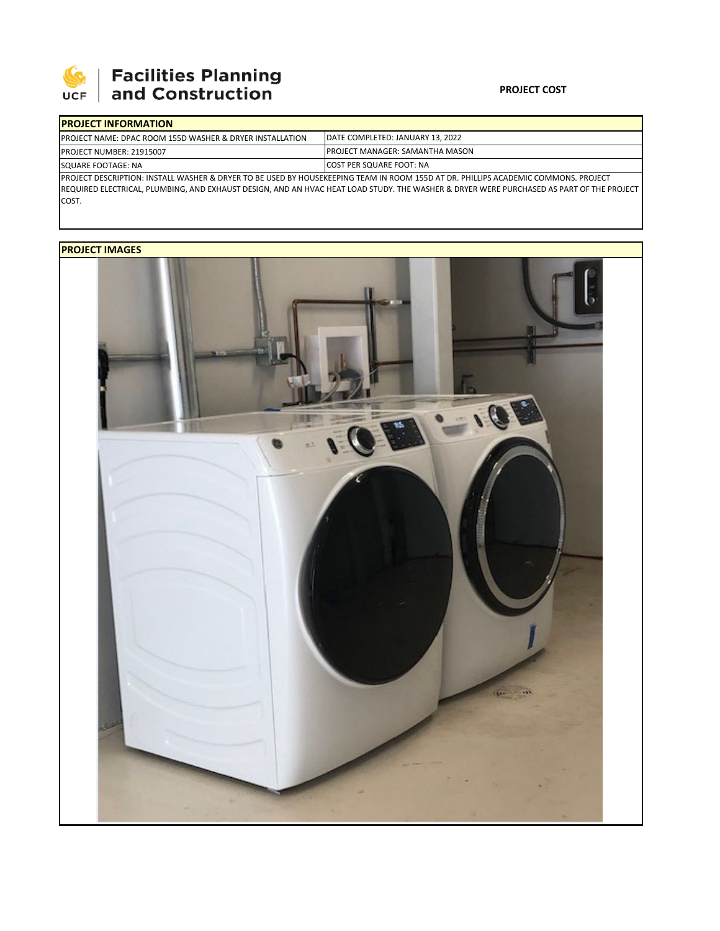

# **Facilities Planning**<br>and Construction

### **PROJECT COST**

| <b>IPROJECT INFORMATION</b>                                                                                                        |                                        |  |  |  |
|------------------------------------------------------------------------------------------------------------------------------------|----------------------------------------|--|--|--|
| <b>PROJECT NAME: DPAC ROOM 155D WASHER &amp; DRYER INSTALLATION</b>                                                                | DATE COMPLETED: JANUARY 13, 2022       |  |  |  |
| <b>PROJECT NUMBER: 21915007</b>                                                                                                    | <b>PROJECT MANAGER: SAMANTHA MASON</b> |  |  |  |
| SQUARE FOOTAGE: NA                                                                                                                 | <b>ICOST PER SQUARE FOOT: NA</b>       |  |  |  |
| PROJECT DESCRIPTION: INSTALL WASHER & DRYER TO BE USED BY HOUSEKEEPING TEAM IN ROOM 155D AT DR. PHILLIPS ACADEMIC COMMONS. PROJECT |                                        |  |  |  |

REQUIRED ELECTRICAL, PLUMBING, AND EXHAUST DESIGN, AND AN HVAC HEAT LOAD STUDY. THE WASHER & DRYER WERE PURCHASED AS PART OF THE PROJECT COST.

## **PROJECT IMAGES**